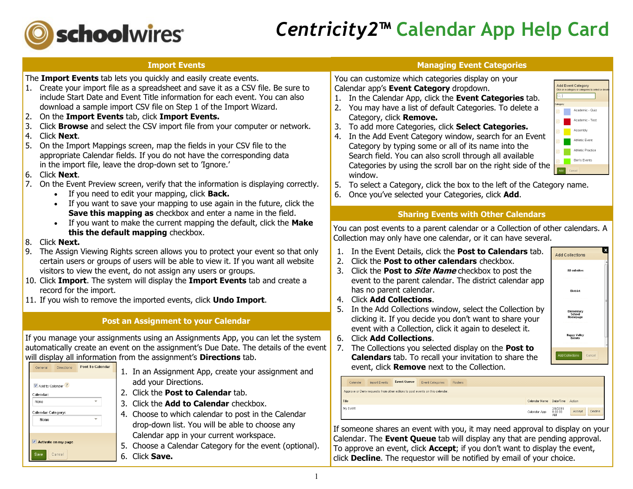

### *Centricity2***™ Calendar App Help Card**

#### **Import Events**

The **Import Events** tab lets you quickly and easily create events.

- 1. Create your import file as a spreadsheet and save it as a CSV file. Be sure to include Start Date and Event Title information for each event. You can also download a sample import CSV file on Step 1 of the Import Wizard.
- 2. On the **Import Events** tab, click **Import Events.**
- 3. Click **Browse** and select the CSV import file from your computer or network.
- 4. Click **Next**.
- 5. On the Import Mappings screen, map the fields in your CSV file to the appropriate Calendar fields. If you do not have the corresponding data in the import file, leave the drop-down set to 'Ignore.'
- 6. Click **Next**.
- 7. On the Event Preview screen, verify that the information is displaying correctly.
	- If you need to edit your mapping, click **Back.**
	- If you want to save your mapping to use again in the future, click the **Save this mapping as** checkbox and enter a name in the field.
	- If you want to make the current mapping the default, click the **Make this the default mapping** checkbox.
- 8. Click **Next.**

General

Add to Calendar<sup>?</sup> Calendar None Calendar Category: None

Activate on my page Cancel

Directions

- 9. The Assign Viewing Rights screen allows you to protect your event so that only certain users or groups of users will be able to view it. If you want all website visitors to view the event, do not assign any users or groups.
- 10. Click **Import**. The system will display the **Import Events** tab and create a record for the import.
- 11. If you wish to remove the imported events, click **Undo Import**.

#### **Post an Assignment to your Calendar**

If you manage your assignments using an Assignments App, you can let the system automatically create an event on the assignment's Due Date. The details of the event will display all information from the assignment's **Directions** tab.

| Post To Calendar         | 1. In an Assignment App, create your assignment and |
|--------------------------|-----------------------------------------------------|
|                          | add your Directions.                                |
|                          | 2. Click the Post to Calendar tab.                  |
| $\overline{\phantom{a}}$ | 3. Click the Add to Calendar checkbox.              |
| $\overline{\phantom{a}}$ | 4. Choose to which calendar to post in the Calendar |
|                          | drop-down list. You will be able to choose any      |
|                          | Calendar app in your current workspace.             |

- 5. Choose a Calendar Category for the event (optional).
- 6. Click **Save.**

#### **Managing Event Categories**

You can customize which categories display on your Calendar app's **Event Category** dropdown.

- 1. In the Calendar App, click the **Event Categories** tab.
- 2. You may have a list of default Categories. To delete a Category, click **Remove.**
- 3. To add more Categories, click **Select Categories.**
- 4. In the Add Event Category window, search for an Event Category by typing some or all of its name into the Search field. You can also scroll through all available Categories by using the scroll bar on the right side of the window.



- 5. To select a Category, click the box to the left of the Category name.
- 6. Once you've selected your Categories, click **Add**.

#### **Sharing Events with Other Calendars**

You can post events to a parent calendar or a Collection of other calendars. A Collection may only have one calendar, or it can have several.

- 1. In the Event Details, click the **Post to Calendars** tab.
- 2. Click the **Post to other calendars** checkbox.
- 3. Click the **Post to Site Name** checkbox to post the event to the parent calendar. The district calendar app has no parent calendar.
- 4. Click **Add Collections**.
- 5. In the Add Collections window, select the Collection by clicking it. If you decide you don't want to share your event with a Collection, click it again to deselect it.
- 6. Click **Add Collections**.



**Add Collections** 

7. The Collections you selected display on the **Post to Calendars** tab. To recall your invitation to share the event, click **Remove** next to the Collection.

|                                                                              | Calendar | Import Events | <b>Event Queue</b> | Event Categories | Rosters |  |               |                           |                   |
|------------------------------------------------------------------------------|----------|---------------|--------------------|------------------|---------|--|---------------|---------------------------|-------------------|
| Approve or Deny requests from other editors to post events on this calendar. |          |               |                    |                  |         |  |               |                           |                   |
|                                                                              | Title    |               |                    |                  |         |  | Calendar Name | Date/Time Action          |                   |
|                                                                              | My Event |               |                    |                  |         |  | Calendar App  | 2/4/2011<br>8:00:00<br>AM | Decline<br>Accept |

If someone shares an event with you, it may need approval to display on your Calendar. The **Event Queue** tab will display any that are pending approval. To approve an event, click **Accept**; if you don't want to display the event, click **Decline**. The requestor will be notified by email of your choice.